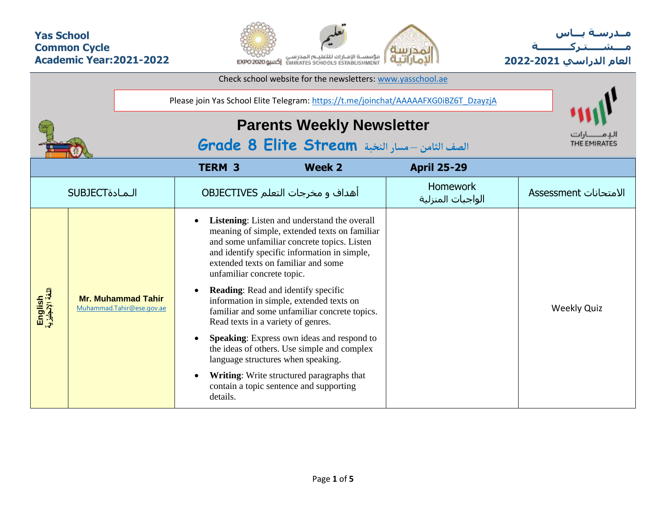## **Yas School Common Cycle Academic Year:2021-2022**



**مــدرسـة يـــاس مــــشـ ـــ ـتـ ركـ ــــــــــ ة العام الدراسي -2021 2022**

|                             |                                                                                     |                                        | Check school website for the newsletters: www.yasschool.ae                                                                                                                                                                                                                                                                                                                                                                                                                                                                                                                                                                                                    |                    |                    |  |  |  |  |  |  |  |
|-----------------------------|-------------------------------------------------------------------------------------|----------------------------------------|---------------------------------------------------------------------------------------------------------------------------------------------------------------------------------------------------------------------------------------------------------------------------------------------------------------------------------------------------------------------------------------------------------------------------------------------------------------------------------------------------------------------------------------------------------------------------------------------------------------------------------------------------------------|--------------------|--------------------|--|--|--|--|--|--|--|
|                             | Please join Yas School Elite Telegram: https://t.me/joinchat/AAAAAFXG0iBZ6T_DzayzjA |                                        |                                                                                                                                                                                                                                                                                                                                                                                                                                                                                                                                                                                                                                                               |                    |                    |  |  |  |  |  |  |  |
|                             |                                                                                     |                                        | <b>Parents Weekly Newsletter</b><br>الصف الثامن -مسار النخبة Grade 8 Elite Stream                                                                                                                                                                                                                                                                                                                                                                                                                                                                                                                                                                             |                    |                    |  |  |  |  |  |  |  |
|                             |                                                                                     | <b>TERM 3</b>                          | <b>Week 2</b>                                                                                                                                                                                                                                                                                                                                                                                                                                                                                                                                                                                                                                                 | <b>April 25-29</b> |                    |  |  |  |  |  |  |  |
|                             | <b>SUBJECT</b>                                                                      |                                        | <b>Homework</b><br>أهداف و مخرجات التعلم OBJECTIVES<br>الواجبات المنزلية                                                                                                                                                                                                                                                                                                                                                                                                                                                                                                                                                                                      |                    |                    |  |  |  |  |  |  |  |
| English<br>اللغة الإنجليزية | <b>Mr. Muhammad Tahir</b><br>Muhammad.Tahir@ese.gov.ae                              | unfamiliar concrete topic.<br>details. | <b>Listening:</b> Listen and understand the overall<br>meaning of simple, extended texts on familiar<br>and some unfamiliar concrete topics. Listen<br>and identify specific information in simple,<br>extended texts on familiar and some<br><b>Reading:</b> Read and identify specific<br>information in simple, extended texts on<br>familiar and some unfamiliar concrete topics.<br>Read texts in a variety of genres.<br><b>Speaking:</b> Express own ideas and respond to<br>the ideas of others. Use simple and complex<br>language structures when speaking.<br>Writing: Write structured paragraphs that<br>contain a topic sentence and supporting |                    | <b>Weekly Quiz</b> |  |  |  |  |  |  |  |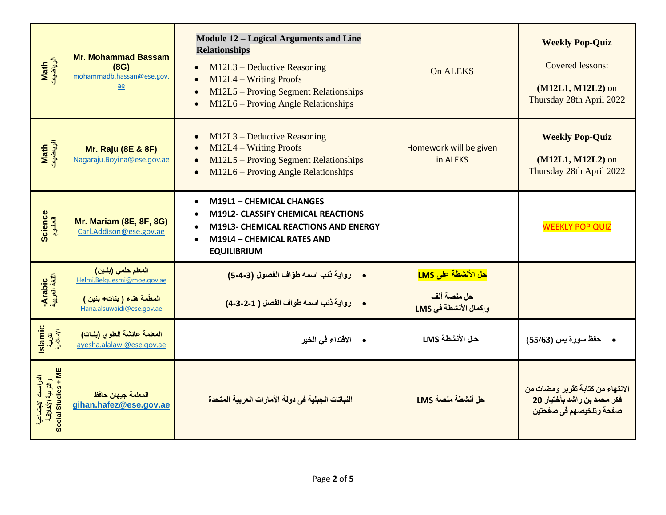| Math<br>الرياضيات                                                | <b>Mr. Mohammad Bassam</b><br>(8G)<br>mohammadb.hassan@ese.gov.<br>ae | <b>Module 12 – Logical Arguments and Line</b><br><b>Relationships</b><br>M12L3 - Deductive Reasoning<br>$M12L4 - Writing$ Proofs<br>M12L5 - Proving Segment Relationships<br>$\bullet$<br>M12L6 - Proving Angle Relationships<br>$\bullet$ | On ALEKS                             | <b>Weekly Pop-Quiz</b><br>Covered lessons:<br>(M12L1, M12L2) on<br>Thursday 28th April 2022 |
|------------------------------------------------------------------|-----------------------------------------------------------------------|--------------------------------------------------------------------------------------------------------------------------------------------------------------------------------------------------------------------------------------------|--------------------------------------|---------------------------------------------------------------------------------------------|
| Math<br>الرياضيات                                                | <b>Mr. Raju (8E &amp; 8F)</b><br>Nagaraju. Boyina@ese.gov.ae          | $M12L3 - Deductive Reasoning$<br>$\bullet$<br>M12L4 - Writing Proofs<br>$\bullet$<br>M12L5 – Proving Segment Relationships<br>$\bullet$<br>M12L6 – Proving Angle Relationships<br>$\bullet$                                                | Homework will be given<br>in ALEKS   | <b>Weekly Pop-Quiz</b><br>(M12L1, M12L2) on<br>Thursday 28th April 2022                     |
| <b>Science</b><br>العلوم                                         | <b>Mr. Mariam (8E, 8F, 8G)</b><br>Carl.Addison@ese.gov.ae             | <b>M19L1 - CHEMICAL CHANGES</b><br>$\bullet$<br>M19L2- CLASSIFY CHEMICAL REACTIONS<br>$\bullet$<br>M19L3- CHEMICAL REACTIONS AND ENERGY<br>$\bullet$<br>M19L4 - CHEMICAL RATES AND<br>$\bullet$<br><b>EQUILIBRIUM</b>                      |                                      | <b>WEEKLY POP QUIZ</b>                                                                      |
|                                                                  | المعلم حلمي (بنين)<br>Helmi.Belauesmi@moe.gov.ae                      | • رواية ذنب اسمه طوّاف الفصول (3-4-5)                                                                                                                                                                                                      | حل الأنشطة على LMS                   |                                                                                             |
| Arabic<br>اللغة العربية                                          | المعلّمة هناء (بنات+بنين)<br>Hana.alsuwaidi@ese.gov.ae                | • رواية ذئب اسمه طواف الفصل ( 1-2-3-4)                                                                                                                                                                                                     | حل منصة ألف<br>وإكمال الأنشطة في LMS |                                                                                             |
| Islamic<br>التربية<br>الإسلامية                                  | المعلمة عائشة العلوى (بنات)<br>ayesha.alalawi@ese.gov.ae              | • الاقتداء في الخير                                                                                                                                                                                                                        | حل الأنشطة LMS                       | حفظ سورة يس (55/63)                                                                         |
| الدراسات الاجتماعية<br>والتربية الأخلاقية<br>Social Studies + ME | المعلمة جيهان حافظ<br>gihan.hafez@ese.gov.ae                          | النباتات الجبلية في دولة الأمارات العربية المتحدة                                                                                                                                                                                          | حل أنشطة منصة LMS                    | الانتهاء من كتابة تقرير ومضات من<br>فكر محمد بن راشد بأختيار 20<br>صفحة وتلخيصهم فى صفحتين  |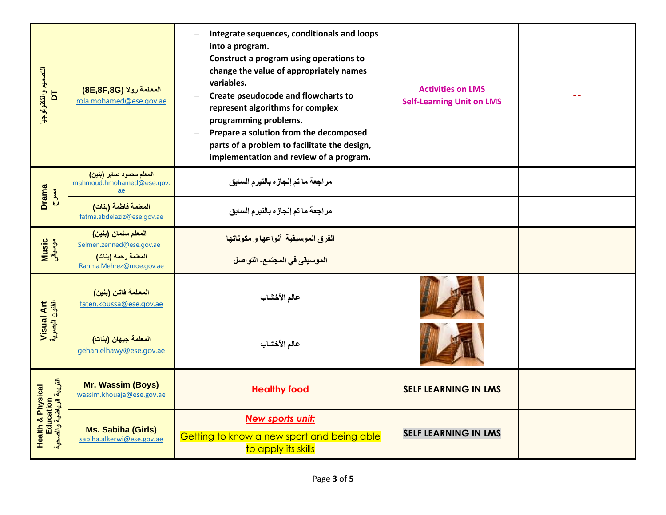| التصعيم والتكنولوجيو<br>$\overline{a}$                     | المعلمة رولا (8E,8F,8G)<br>rola.mohamed@ese.gov.ae                        | Integrate sequences, conditionals and loops<br>$\overline{\phantom{m}}$<br>into a program.<br>Construct a program using operations to<br>$\overline{\phantom{0}}$<br>change the value of appropriately names<br>variables.<br>Create pseudocode and flowcharts to<br>$\overline{\phantom{m}}$<br>represent algorithms for complex<br>programming problems.<br>Prepare a solution from the decomposed<br>parts of a problem to facilitate the design,<br>implementation and review of a program. | <b>Activities on LMS</b><br><b>Self-Learning Unit on LMS</b> |  |
|------------------------------------------------------------|---------------------------------------------------------------------------|-------------------------------------------------------------------------------------------------------------------------------------------------------------------------------------------------------------------------------------------------------------------------------------------------------------------------------------------------------------------------------------------------------------------------------------------------------------------------------------------------|--------------------------------------------------------------|--|
| <b>Drama</b><br>$\sum_{i=1}^{n}$                           | المعلم محمود صابر (بنين)<br>mahmoud.hmohamed@ese.gov.<br>$\underline{ae}$ | مراجعة ما تم إنجازه بالتيرم السابق                                                                                                                                                                                                                                                                                                                                                                                                                                                              |                                                              |  |
|                                                            | المعلمة فاطمة (بنات)<br>fatma.abdelaziz@ese.gov.ae                        | مراجعة ما تم إنجازه بالتيرم السابق                                                                                                                                                                                                                                                                                                                                                                                                                                                              |                                                              |  |
| Music<br>موسیقی                                            | المعلم سلمان (بنين)<br>Selmen.zenned@ese.gov.ae                           | الفرق الموسيقية أنواعها و مكوناتها                                                                                                                                                                                                                                                                                                                                                                                                                                                              |                                                              |  |
|                                                            | المعلمة رحمه (بنات)<br>Rahma.Mehrez@moe.gov.ae                            | الموسيقى في المجتمع- التواصل                                                                                                                                                                                                                                                                                                                                                                                                                                                                    |                                                              |  |
|                                                            | المعلمة فاتن (بنين)<br>faten.koussa@ese.gov.ae                            | عالم الأخشاب                                                                                                                                                                                                                                                                                                                                                                                                                                                                                    |                                                              |  |
| Visual Art<br>الفنون البصرية                               | المعلمة جيهان (بنات)<br>gehan.elhawy@ese.gov.ae                           | عالم الأخشاب                                                                                                                                                                                                                                                                                                                                                                                                                                                                                    |                                                              |  |
|                                                            | Mr. Wassim (Boys)<br>wassim.khouaja@ese.gov.ae                            | <b>Healthy food</b>                                                                                                                                                                                                                                                                                                                                                                                                                                                                             | <b>SELF LEARNING IN LMS</b>                                  |  |
| Health & Physical<br>Education<br>التربية الرياضية والصحية | Ms. Sabiha (Girls)<br>sabiha.alkerwi@ese.gov.ae                           | <b>New sports unit:</b><br>Getting to know a new sport and being able<br>to apply its skills                                                                                                                                                                                                                                                                                                                                                                                                    | <b>SELF LEARNING IN LMS</b>                                  |  |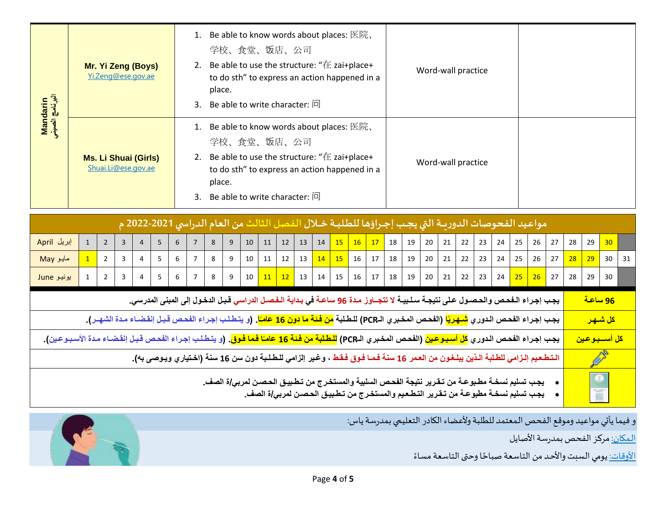| Mandarin<br>البرنامج الصيني                                                                                                                                             |                                                                                                                                                                                                                                                                                                                                            |                | Mr. Yi Zeng (Boys)<br>Yi.Zeng@ese.gov.ae |                |   |                | 1. Be able to know words about places: 医院、<br>学校、食堂、饭店、公司<br>2. Be able to use the structure: " $#$ zai+place+<br>to do sth" to express an action happened in a<br>place.<br>3. Be able to write character: 问      |    |    |    |    |    |    |                          |                       |    |                    | Word-wall practice |    |    |    |    |    |    |    |    |    |    |                 |    |    |
|-------------------------------------------------------------------------------------------------------------------------------------------------------------------------|--------------------------------------------------------------------------------------------------------------------------------------------------------------------------------------------------------------------------------------------------------------------------------------------------------------------------------------------|----------------|------------------------------------------|----------------|---|----------------|--------------------------------------------------------------------------------------------------------------------------------------------------------------------------------------------------------------------|----|----|----|----|----|----|--------------------------|-----------------------|----|--------------------|--------------------|----|----|----|----|----|----|----|----|----|----|-----------------|----|----|
|                                                                                                                                                                         | <b>Ms. Li Shuai (Girls)</b><br>Shuai.Li@ese.gov.ae                                                                                                                                                                                                                                                                                         |                |                                          |                |   |                | 1. Be able to know words about places: 医院、<br>学校、食堂、饭店、公司<br>2. Be able to use the structure: " $#$ zai+place+<br>to do sth" to express an action happened in a<br>place.<br>3. Be able to write character: $\Box$ |    |    |    |    |    |    |                          |                       |    | Word-wall practice |                    |    |    |    |    |    |    |    |    |    |    |                 |    |    |
| مواعيد الفحوصات الدوريــة التي يجـب إجـراؤها للطلبــة خــلال الفصل الثالث من العام الدراسي 2021-2022 م                                                                  |                                                                                                                                                                                                                                                                                                                                            |                |                                          |                |   |                |                                                                                                                                                                                                                    |    |    |    |    |    |    |                          |                       |    |                    |                    |    |    |    |    |    |    |    |    |    |    |                 |    |    |
| إبريل April<br>1<br>$\overline{2}$<br>5<br>6<br>3<br>$\overline{4}$                                                                                                     |                                                                                                                                                                                                                                                                                                                                            |                |                                          |                |   | $\overline{7}$ | 8                                                                                                                                                                                                                  | 9  | 10 | 11 | 12 | 13 | 14 | 15                       | 16                    | 17 | 18                 | 19                 | 20 | 21 | 22 | 23 | 24 | 25 | 26 | 27 | 28 | 29 | 30 <sup>°</sup> |    |    |
| مايو May                                                                                                                                                                | $\mathbf{1}$                                                                                                                                                                                                                                                                                                                               | $\overline{2}$ | 3                                        | $\overline{4}$ | 5 | 6              | $\overline{7}$                                                                                                                                                                                                     | 8  | 9  | 10 | 11 | 12 | 13 | 14                       | 15                    | 16 | 17                 | 18                 | 19 | 20 | 21 | 22 | 23 | 24 | 25 | 26 | 27 | 28 | 29              | 30 | 31 |
| يونيو June                                                                                                                                                              | 5<br>6<br>8<br>9<br>11<br>12<br>13<br>14<br>15<br>$\mathbf{1}$<br>$\overline{2}$<br>3<br>4<br>$\overline{7}$<br>10<br>16                                                                                                                                                                                                                   |                |                                          |                |   |                |                                                                                                                                                                                                                    | 17 | 18 | 19 | 20 | 21 | 22 | 23                       | 24                    | 25 | 26                 | 27                 | 28 | 29 | 30 |    |    |    |    |    |    |    |                 |    |    |
| يجب إجراء الـفحص والحصـول على نتيجـة سـلـبيـة لا تتجــاوز مـدة 96 ساعـة في بـدايـة الـفـصـل الدراسي قـبـل الدخـول إلى المبنى المدرسي.                                   |                                                                                                                                                                                                                                                                                                                                            |                |                                          |                |   |                |                                                                                                                                                                                                                    |    |    |    |    |    |    | <u>96 ساعة</u>           |                       |    |                    |                    |    |    |    |    |    |    |    |    |    |    |                 |    |    |
| يجب إجراء الفحص الدوري <mark>شـهريًا</mark> (الفحص المخبري الـPCR) للطـلبة <mark>من فـئـة ما دون 16 عامـًا</mark> . (و يتـطـلب إجـراء الفحص قـبـل إنقضـاء مـدة الشهـر). |                                                                                                                                                                                                                                                                                                                                            |                |                                          |                |   |                |                                                                                                                                                                                                                    |    |    |    |    |    |    |                          | <mark>كل شىھىر</mark> |    |                    |                    |    |    |    |    |    |    |    |    |    |    |                 |    |    |
| يجب إجراء الفحص الدوري <mark>كل أسبوعين</mark> (الفحص المخبري الـPCR) <mark>للطلبة من فئة 16 عامـًا فما فوق</mark> . (و يتطلب إجراء الفحص قبل إنقضـاء مـدة الأسبـوعين). |                                                                                                                                                                                                                                                                                                                                            |                |                                          |                |   |                |                                                                                                                                                                                                                    |    |    |    |    |    |    | <mark>كل أسسبوعين</mark> |                       |    |                    |                    |    |    |    |    |    |    |    |    |    |    |                 |    |    |
|                                                                                                                                                                         |                                                                                                                                                                                                                                                                                                                                            |                |                                          |                |   |                |                                                                                                                                                                                                                    |    |    |    |    |    |    |                          |                       |    |                    |                    |    |    |    |    |    |    |    |    |    |    |                 |    |    |
|                                                                                                                                                                         | التطعيم إلـزامي للطلبة الـذين يبلـغون من العمر 16 سنة فمـا فـوق فـقط ، وغير إلزامي للـطـلـبة دون سن 16 سنة (اختياري ويـوصي به).<br>يجب تسليم نسخـة مطـبوعـة من تـقـرير نتيجة الفحـص السلبية والمستخـرج من تـطـبيـق الحـصـن لمربي/ة الصف_<br>يجب تسليم نسخــة مطبوعــة من تــقـرير التـطـعـيم والمستخـرج من تـطـبيـق الحـصـن لمربـي/ة الصف_ |                |                                          |                |   |                |                                                                                                                                                                                                                    |    |    |    |    |    |    |                          |                       |    |                    |                    |    |    |    |    |    |    |    |    |    |    |                 |    |    |

و فيما يأتي مواعيد وموقع الفحص المعتمد للطلبة ولأعضاء الكادر التعليمي بمدرسة ياس:

المكان: مركز الفحص بمدرسة الأصايل

<u>الأوقات:</u> يومي السبت والأحد من التاسعة صباحًا وحتى التاسعة مساءً ٍ<br>ءُ